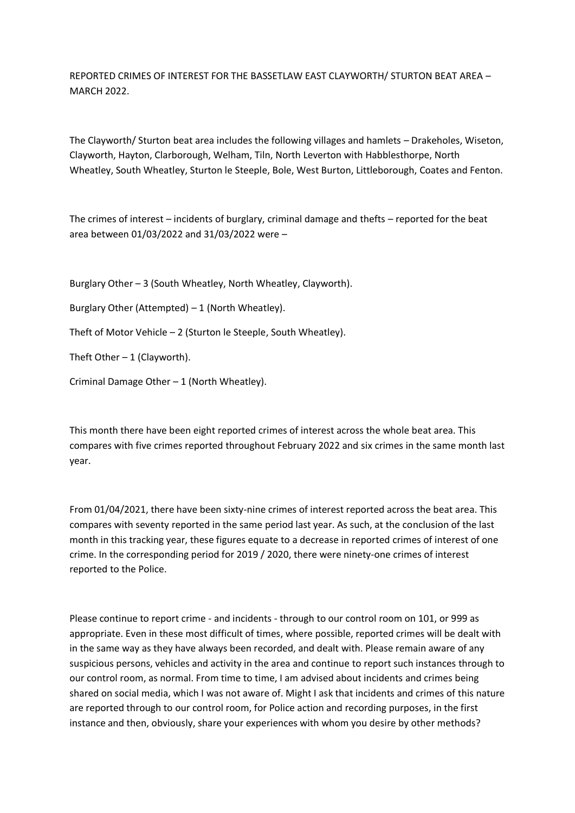REPORTED CRIMES OF INTEREST FOR THE BASSETLAW EAST CLAYWORTH/ STURTON BEAT AREA – MARCH 2022.

The Clayworth/ Sturton beat area includes the following villages and hamlets – Drakeholes, Wiseton, Clayworth, Hayton, Clarborough, Welham, Tiln, North Leverton with Habblesthorpe, North Wheatley, South Wheatley, Sturton le Steeple, Bole, West Burton, Littleborough, Coates and Fenton.

The crimes of interest – incidents of burglary, criminal damage and thefts – reported for the beat area between 01/03/2022 and 31/03/2022 were –

Burglary Other – 3 (South Wheatley, North Wheatley, Clayworth).

Burglary Other (Attempted) – 1 (North Wheatley).

Theft of Motor Vehicle – 2 (Sturton le Steeple, South Wheatley).

Theft Other  $-1$  (Clayworth).

Criminal Damage Other – 1 (North Wheatley).

This month there have been eight reported crimes of interest across the whole beat area. This compares with five crimes reported throughout February 2022 and six crimes in the same month last year.

From 01/04/2021, there have been sixty-nine crimes of interest reported across the beat area. This compares with seventy reported in the same period last year. As such, at the conclusion of the last month in this tracking year, these figures equate to a decrease in reported crimes of interest of one crime. In the corresponding period for 2019 / 2020, there were ninety-one crimes of interest reported to the Police.

Please continue to report crime - and incidents - through to our control room on 101, or 999 as appropriate. Even in these most difficult of times, where possible, reported crimes will be dealt with in the same way as they have always been recorded, and dealt with. Please remain aware of any suspicious persons, vehicles and activity in the area and continue to report such instances through to our control room, as normal. From time to time, I am advised about incidents and crimes being shared on social media, which I was not aware of. Might I ask that incidents and crimes of this nature are reported through to our control room, for Police action and recording purposes, in the first instance and then, obviously, share your experiences with whom you desire by other methods?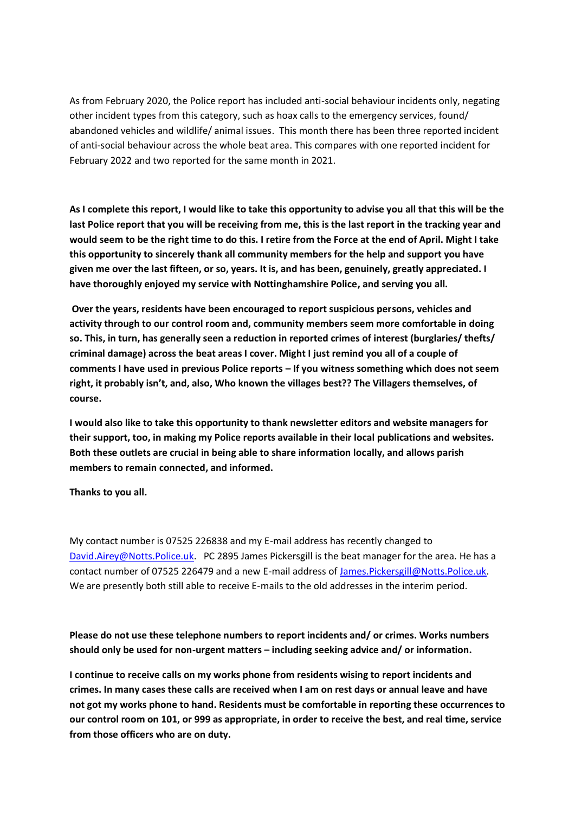As from February 2020, the Police report has included anti-social behaviour incidents only, negating other incident types from this category, such as hoax calls to the emergency services, found/ abandoned vehicles and wildlife/ animal issues. This month there has been three reported incident of anti-social behaviour across the whole beat area. This compares with one reported incident for February 2022 and two reported for the same month in 2021.

**As I complete this report, I would like to take this opportunity to advise you all that this will be the last Police report that you will be receiving from me, this is the last report in the tracking year and would seem to be the right time to do this. I retire from the Force at the end of April. Might I take this opportunity to sincerely thank all community members for the help and support you have given me over the last fifteen, or so, years. It is, and has been, genuinely, greatly appreciated. I have thoroughly enjoyed my service with Nottinghamshire Police, and serving you all.**

**Over the years, residents have been encouraged to report suspicious persons, vehicles and activity through to our control room and, community members seem more comfortable in doing so. This, in turn, has generally seen a reduction in reported crimes of interest (burglaries/ thefts/ criminal damage) across the beat areas I cover. Might I just remind you all of a couple of comments I have used in previous Police reports – If you witness something which does not seem right, it probably isn't, and, also, Who known the villages best?? The Villagers themselves, of course.** 

**I would also like to take this opportunity to thank newsletter editors and website managers for their support, too, in making my Police reports available in their local publications and websites. Both these outlets are crucial in being able to share information locally, and allows parish members to remain connected, and informed.**

**Thanks to you all.**

My contact number is 07525 226838 and my E-mail address has recently changed to [David.Airey@Notts.Police.uk.](about:blank) PC 2895 James Pickersgill is the beat manager for the area. He has a contact number of 07525 226479 and a new E-mail address of [James.Pickersgill@Notts.Police.uk.](about:blank) We are presently both still able to receive E-mails to the old addresses in the interim period.

**Please do not use these telephone numbers to report incidents and/ or crimes. Works numbers should only be used for non-urgent matters – including seeking advice and/ or information.**

**I continue to receive calls on my works phone from residents wising to report incidents and crimes. In many cases these calls are received when I am on rest days or annual leave and have not got my works phone to hand. Residents must be comfortable in reporting these occurrences to our control room on 101, or 999 as appropriate, in order to receive the best, and real time, service from those officers who are on duty.**